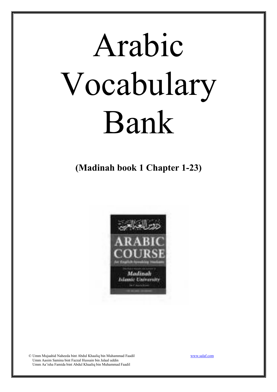# Arabic Vocabulary Bank

(Madinah book 1 Chapter 1-23)



© Umm Mujaahid Naheeda bint Abdul Khaaliq bin Muhammad Faadil www.salaf.com Umm Aasim Samina bint Fazzal Hussain bin Jalaal uddin Umm Aa'isha Famida bint Abdul Khaaliq bin Muhammad Faadil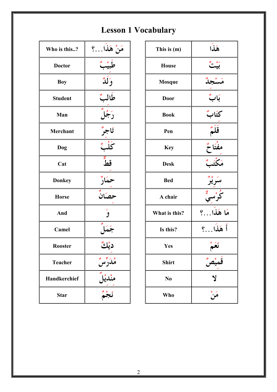## Lesson 1 Vocabulary

| Who is this?        | مَنْ هَذَا؟                 |
|---------------------|-----------------------------|
| <b>Doctor</b>       | طَبيْبٌ                     |
| <b>Boy</b>          | وَلَدٌ                      |
| <b>Student</b>      | طَالبٌ                      |
| Man                 | زَجْلٌ                      |
| <b>Merchant</b>     | تاجر                        |
| Dog                 | كَلْبٌ                      |
| Cat                 | سة<br>قط                    |
| <b>Donkey</b>       | حمَارٌ<br>ڪ                 |
| <b>Horse</b>        | حصانٌ                       |
| And                 |                             |
| Camel               | جَمَل <sup>َ</sup><br>ديْكٌ |
| <b>Rooster</b>      |                             |
| <b>Teacher</b>      |                             |
| <b>Handkerchief</b> |                             |
| <b>Star</b>         |                             |

| This is (m)    | هَذا                 |
|----------------|----------------------|
| <b>House</b>   | ره په<br>ن <b>ست</b> |
| <b>Mosque</b>  | مَسْجِدٌ             |
| <b>Door</b>    | بَابٌ                |
| <b>Book</b>    | كتَابٌ               |
| Pen            | قَلَمٌ               |
| <b>Key</b>     | مفْتَاحٌ             |
| <b>Desk</b>    | مڭتَب                |
| <b>Bed</b>     | سر وه                |
| A chair        |                      |
| What is this?  | مَا هَذَا؟           |
| Is this?       | أَهَذَا؟             |
| <b>Yes</b>     |                      |
| <b>Shirt</b>   |                      |
| N <sub>0</sub> | $\mathbf{y}$         |
| Who            | مَنْ                 |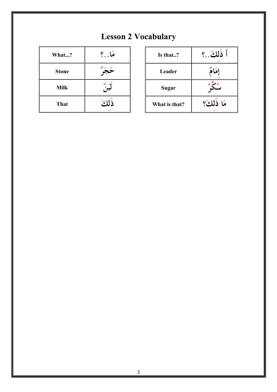#### Lesson 2 Vocabulary

| What?        | مَا…؟         |
|--------------|---------------|
| <b>Stone</b> | x > 8         |
| <b>Milk</b>  | اسر چو<br>جون |
| <b>That</b>  | ذَلكَ         |

| Is that?      | أَ ذَلِكَ؟  |
|---------------|-------------|
| Leader        |             |
| <b>Sugar</b>  | 28          |
| What is that? | مَا ذَلِكَ؟ |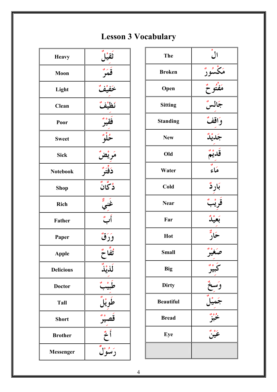#### Lesson 3 Vocabulary

| <b>Heavy</b>     |               |
|------------------|---------------|
| Moon             |               |
| Light            | قفيف          |
| <b>Clean</b>     | نَظَيْفٌ      |
| Poor             | فقير          |
| <b>Sweet</b>     | حاثو          |
| <b>Sick</b>      | مَريْضٌ       |
| <b>Notebook</b>  | دَفْتَر       |
| <b>Shop</b>      | دُگانٌ        |
| <b>Rich</b>      | غَني<br>غني   |
| <b>Father</b>    | أَبٌ          |
| Paper            | وَرَق         |
| Apple            | ثقاً *        |
| <b>Delicious</b> | ڵڶؠ۠ڵ         |
| <b>Doctor</b>    |               |
| Tall             |               |
| <b>Short</b>     |               |
| <b>Brother</b>   |               |
| <b>Messenger</b> | َ<br>رَسُوْلٌ |

| <b>The</b>       | الُ                           |
|------------------|-------------------------------|
| <b>Broken</b>    | مَكْسُورٌ                     |
| Open             | ر<br>ئاخ                      |
| <b>Sitting</b>   | جَالِسٌ<br>وَاقِفٌ<br>وَاقِفٌ |
| <b>Standing</b>  |                               |
| <b>New</b>       | —<br>جَديْدٌ<br>—–            |
| Old              | قَديْمٌ<br>مَاء <sup>ِ</sup>  |
| Water            |                               |
| Cold             | بَارِدٌ                       |
| <b>Near</b>      |                               |
| Far              |                               |
| Hot              | $\mathcal{L}_{1}$             |
| <b>Small</b>     | $\frac{180}{9}$               |
| <b>Big</b>       |                               |
| <b>Dirty</b>     |                               |
| <b>Beautiful</b> |                               |
| <b>Bread</b>     |                               |
| Eye              |                               |
|                  |                               |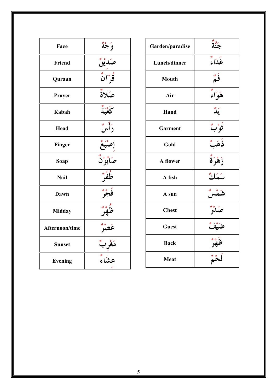| Face           | وَجُهْ             |
|----------------|--------------------|
| <b>Friend</b>  | صَديْقٌ            |
| Quraan         | قُوْآنٌ            |
| Prayer         | صَلاةٌ             |
| Kabah          | كَعْبَة            |
| <b>Head</b>    | ع<br>د أىس         |
| <b>Finger</b>  | إصبع               |
| Soap           | صَابُوْنٌ          |
| <b>Nail</b>    | ظفو                |
| Dawn           | فجرٌ               |
| <b>Midday</b>  | خلقوم              |
| Afternoon/time |                    |
| <b>Sunset</b>  | مَغْرِبٌ<br>حشَاءٌ |
| <b>Evening</b> |                    |

| Garden/paradise | ر».<br>جنبه   |
|-----------------|---------------|
| Lunch/dinner    | ريدي.<br>غذاء |
| <b>Mouth</b>    | فَهٌ          |
| Air             | هَوَاء        |
| Hand            | يگ            |
| Garment         | ثوْبٌ         |
| Gold            | ذَهَبٌ        |
| A flower        | ڒؘۿۨڒؘة۠      |
| A fish          | سَمَكُ        |
| A sun           | شَمْس         |
| <b>Chest</b>    | صّلوٌ         |
| <b>Guest</b>    |               |
| <b>Back</b>     |               |
| <b>Meat</b>     | بيدية         |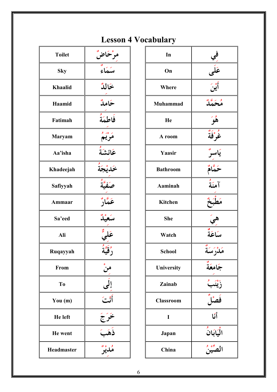# Lesson 4 Vocabulary

| <b>Toilet</b>  | مرْحَاضٌ<br><u>۔</u>        |
|----------------|-----------------------------|
| <b>Sky</b>     | $\frac{1}{\sqrt{2}}$ سَمَاء |
| <b>Khaalid</b> | خالدٌ                       |
| Haamid         | ځامله                       |
| Fatimah        | فَاطْهَةٌ                   |
| <b>Maryam</b>  | مَوْيَمْ                    |
| Aa'isha        | _<br>عَائَشْهُ              |
| Khadeejah      | ڂ <i>ۘ</i> ۮۑ۠ۘڿۘۮؙؖ        |
| Safiyyah       | صَفيَّة                     |
| Ammaar         | عَمَّارٌ                    |
| Sa'eed         | سَعيْكُ                     |
| Ali            | حَلِيٌّ                     |
| Ruqayyah       | وَيَعَةً                    |
| From           |                             |
| To             | من<br>_<br>أَنْتَ<br>أَنْتَ |
| You $(m)$      |                             |
| He left        | سرچَ<br>ب                   |
| He went        | ۮؘ                          |
| Headmaster     |                             |

| In               |                          |
|------------------|--------------------------|
| On               | قي)<br>حَلَّى<br>أَيْنَ  |
| Where            |                          |
| <b>Muhammad</b>  | و بر سي.<br>منحمله       |
| He               | هُوَ                     |
| A room           | ۼؙۛۯؘڣؙ؞                 |
| Yaasir           | يَاسوٌ                   |
| <b>Bathroom</b>  | ځمّامٌ                   |
| <b>Aaminah</b>   | آهنة                     |
| <b>Kitchen</b>   |                          |
| <b>She</b>       |                          |
| Watch            | سَاعَةٌ                  |
| <b>School</b>    | مَدْرَسَةٌ               |
| University       | جَامعَةً                 |
| Zainab           |                          |
| <b>Classroom</b> |                          |
| I                | أنَا                     |
| Japan            | الْيَابَانُ<br>الصِّيْنُ |
| China            |                          |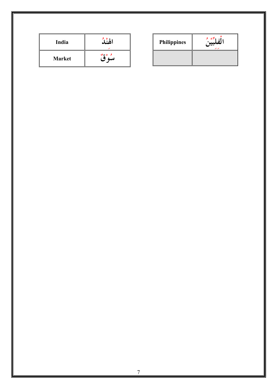| India         | ಿ                           |
|---------------|-----------------------------|
| <b>Market</b> | $\mathcal{R} = \mathcal{S}$ |

| <b>Philippines</b> | لددد<br>ر ر |
|--------------------|-------------|
|                    |             |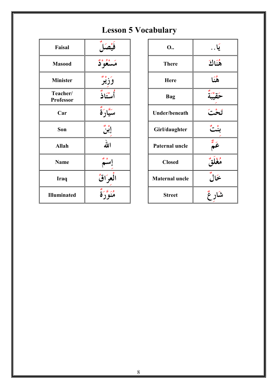## Lesson 5 Vocabulary

| <b>Faisal</b>                |                              |
|------------------------------|------------------------------|
| <b>Masood</b>                | ر ه و.<br>نو ک               |
| <b>Minister</b>              | وَزْيُوْ                     |
| Teacher/<br><b>Professor</b> | أستاذ                        |
| Car                          | سيَّادَةٌ                    |
| Son                          | إبْنُ                        |
| <b>Allah</b>                 | الله                         |
| <b>Name</b>                  |                              |
| <b>Iraq</b>                  | الْعرَاقْ                    |
| Illuminated                  | $\frac{18}{9}$ $\frac{6}{9}$ |

| O                     | يَا. .  |
|-----------------------|---------|
| <b>There</b>          | هْنَاكَ |
| <b>Here</b>           | هنیا    |
| <b>Bag</b>            |         |
| <b>Under/beneath</b>  | تحف     |
| Girl/daughter         |         |
| Paternal uncle        |         |
| <b>Closed</b>         |         |
| <b>Maternal uncle</b> |         |
| <b>Street</b>         |         |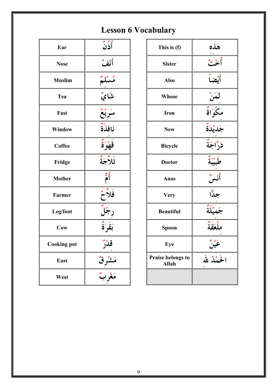## Lesson 6 Vocabulary

| Ear                | و و و<br>أفرن        |
|--------------------|----------------------|
| <b>Nose</b>        | أنف                  |
| <b>Muslim</b>      |                      |
| Tea                | شايٌ                 |
| Fast               | سَرِيْعُ             |
| Window             | نَافِذَةٌ            |
| Coffee             | قَهْوَةٌ             |
| Fridge             | تَلاَّجَةٌ           |
| <b>Mother</b>      | وڻ<br>آم             |
| <b>Farmer</b>      | فَلاَّحْ             |
| Leg/foot           | رجُلٌّ<br>م          |
| Cow                | بَقَرَة              |
| <b>Cooking pot</b> | قدْرٌ                |
| East               |                      |
| West               | مَشْرِقٌ<br>مَغْرَبٌ |

| This is (f)                       | هَذه          |
|-----------------------------------|---------------|
| <b>Sister</b>                     | أختٌ          |
| <b>Also</b>                       | ۔<br>أيضاً    |
| Whose                             |               |
| Iron                              | مكُوَاةٌ      |
| <b>New</b>                        | جَديْدَةٌ     |
| <b>Bicycle</b>                    | دَرَّاجَةٌ    |
| <b>Doctor</b>                     | طبيبة         |
| Anas                              | أَنَسٌ        |
| <b>Very</b>                       | جِدًّا        |
| <b>Beautiful</b>                  | جَميْلَةٌ     |
| Spoon                             | ملعقة         |
| Eye                               | ئره مو<br>عين |
| Praise belongs to<br><b>Allah</b> | الحَمْدُ لله  |
|                                   |               |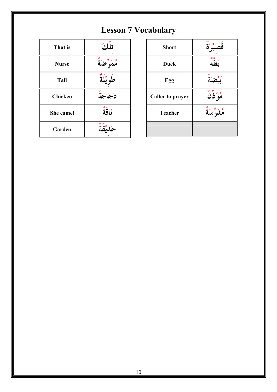#### Lesson 7 Vocabulary

| That is          | تلّكَ          |
|------------------|----------------|
| <b>Nurse</b>     | ه په ٌ ضَيَّةٌ |
| Tall             | طَويْلَةْ      |
| Chicken          | دَجَاجَةٌ      |
| <b>She camel</b> | نَاقَةٌ        |
| Garden           |                |

| <b>Short</b>            | 74    |
|-------------------------|-------|
| <b>Duck</b>             | لق ہو |
| Egg                     |       |
| <b>Caller to prayer</b> | مؤذن  |
| <b>Teacher</b>          |       |
|                         |       |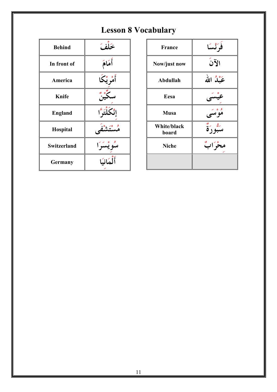## Lesson 8 Vocabulary

| <b>Behind</b>      | خلف     |
|--------------------|---------|
| In front of        | أَمَامَ |
| America            | ئا ئكا  |
| <b>Knife</b>       |         |
| <b>England</b>     | إفكا    |
| Hospital           |         |
| <b>Switzerland</b> |         |
| Germany            | ीं      |

| <b>France</b>               | فرَنْسَا       |
|-----------------------------|----------------|
| Now/just now                | الآنَ          |
| Abdullah                    | عَبْدُ الله    |
| Eesa                        |                |
| <b>Musa</b>                 |                |
| <b>White/black</b><br>board | $\frac{18}{4}$ |
| <b>Niche</b>                | فواك           |
|                             |                |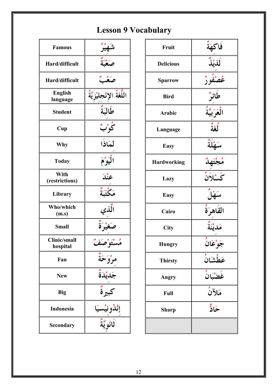## Lesson 9 Vocabulary

| <b>Famous</b>              |                            |
|----------------------------|----------------------------|
| Hard/difficult             |                            |
| Hard/difficult             | صدّ                        |
| <b>English</b><br>language | اللُّغَةُ الإنْجليْزِيَّةُ |
| <b>Student</b>             | طَالبَةٌ                   |
| Cup                        | م<br>كوبٌ                  |
| Why                        | لمَاذَا                    |
| <b>Today</b>               | الْيَوْمَ                  |
| With<br>(restrictions)     | عندَ                       |
| Library                    | مَكْتَبَةٌ                 |
| Who/which<br>(m.s)         | ِ<br>الَّذي                |
| <b>Small</b>               |                            |
| Clinic/small<br>hospital   | ه ٔ صنّفه                  |
| Fan                        | موْوَحَةْ                  |
| <b>New</b>                 | -<br>جَديْدَةٌ             |
| <b>Big</b>                 | كبيرة                      |
| Indonesia                  |                            |
| Secondary                  |                            |

| Fruit              | فَاكِهَةَ                |
|--------------------|--------------------------|
| <b>Delicious</b>   | لَذيْذٌ                  |
| <b>Sparrow</b>     | ۔<br>عُصْفُورٌ           |
| <b>Bird</b>        | طَائرٌ                   |
| <b>Arabic</b>      | الْعَرَبَيَّة            |
| Language           | $\overline{\mathbf{a}^*$ |
| <b>Easy</b>        | سَهْلَةٌ                 |
| <b>Hardworking</b> | مْجْتَهِدٌ               |
| Lazy               | كَسْلاَنُ                |
| <b>Easy</b>        | سَهْلٌ                   |
| Cairo              | القَاهرَةُ               |
| City               | مَليْنَةٌ                |
| <b>Hungry</b>      | ___<br>جَوْعَانُ         |
| <b>Thirsty</b>     |                          |
| Angry              |                          |
| <b>Full</b>        | مَلآنُ                   |
| Sharp              | ۔<br>ځاد                 |
|                    |                          |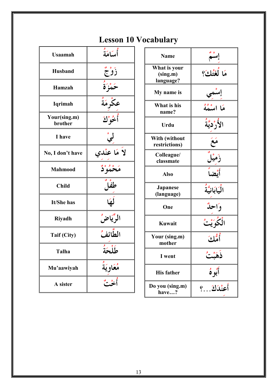| <b>Usaamah</b>          | أسامَةُ               |
|-------------------------|-----------------------|
| <b>Husband</b>          | زَوْجٌ                |
| Hamzah                  | ئرة م<br>حَمْزَ ق     |
| Iqrimah                 | عڭرمَةُ               |
| Your(sing.m)<br>brother | أخواذَ                |
| I have                  | لي°<br>ِي             |
| No, I don't have        | لاً مَا عنْدي         |
| <b>Mahmood</b>          | مَحْمُوْدٌ            |
| <b>Child</b>            | طفُلٌ<br>_<br>لَهَا   |
| It/She has              |                       |
| <b>Riyadh</b>           | الرِّيَاضُ            |
| Taif (City)             | الطَّائِفُ            |
| Talha                   | طُلْحَةُ              |
| Mu'aawiyah              | مُعَاوِيَةُ<br>أَخْتُ |
| A sister                |                       |

| <b>Name</b>                           |                     |
|---------------------------------------|---------------------|
| What is your<br>(sing.m)<br>language? | هَا لُغَيْكَ؟       |
| My name is                            | إسمي                |
| What is his<br>name?                  | مَا اسْهُهُ         |
| Urdu                                  | الأَرْدِيَّةُ       |
| With (without<br>restrictions)        | مَعَ                |
| Colleague/<br>classmate               | زَميْلُ             |
| <b>Also</b>                           | أَبْضاً             |
| <b>Japanese</b><br>(language)         | الْيَابَانِيَّةُ    |
| One                                   | وَاحِدٌ             |
| Kuwait                                | الْكُوَيْتُ         |
| Your (sing.m)<br>mother               | م<br>أه له <i>ك</i> |
| I went                                |                     |
| <b>His father</b>                     | ء<br>أبو هُ         |
| Do you (sing.m)<br>have?              | أَعنْدَكَ؟          |

#### Lesson 10 Vocabulary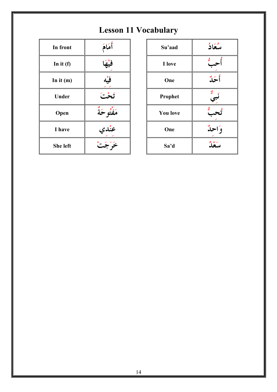## Lesson 11 Vocabulary

| In front        | أَمَامَ      |  |
|-----------------|--------------|--|
| In it $(f)$     | فيها         |  |
| In it $(m)$     | فيه          |  |
| <b>Under</b>    | تَحْتَ       |  |
| Open            | مَفْتُو حَةٌ |  |
| I have          | عنْدِي       |  |
| <b>She left</b> |              |  |

| Su'aad          | سگاڈ          |
|-----------------|---------------|
| I love          |               |
| One             | أيربو         |
| Prophet         | $\frac{3}{2}$ |
| <b>You love</b> | 8             |
| One             | واحله         |
| Sa'd            |               |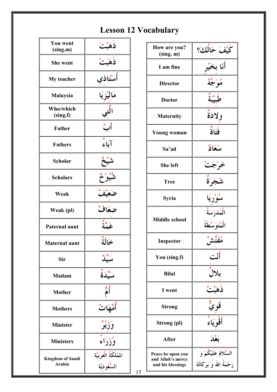## Lesson 12 Vocabulary

15

| <b>You went</b><br>(sing.m)       | ذهَبْتَ                                    |  |
|-----------------------------------|--------------------------------------------|--|
| <b>She went</b>                   | ذهَبَتْ                                    |  |
| My teacher                        | أَسْتَاذي                                  |  |
| <b>Malaysia</b>                   | مَالَيْزِ يَا                              |  |
| Who/which<br>(sing.f)             | التي                                       |  |
| <b>Father</b>                     | أَبٌ                                       |  |
| <b>Fathers</b>                    | آباء                                       |  |
| <b>Scholar</b>                    |                                            |  |
| <b>Scholars</b>                   | پ <sup>رو ه بو</sup>                       |  |
| Weak                              | ضَعيْفٌ                                    |  |
| Weak (pl)                         | ضعَافٌ                                     |  |
| <b>Paternal aunt</b>              | بر ته <sup>ید</sup>                        |  |
| Maternal aunt                     | خَالَةُ                                    |  |
| Sir                               | سے                                         |  |
| <b>Madam</b>                      | رس<br>سبکة                                 |  |
| <b>Mother</b>                     | و<br>أم                                    |  |
| <b>Mothers</b>                    | أُمَّهَاتٌ                                 |  |
| <b>Minister</b>                   | ۅؘڒؽڒ                                      |  |
| <b>Ministers</b>                  | <u>بابان</u><br>وزراء                      |  |
| <b>Kingdom of Saudi</b><br>Arabia | الَمْلَكَةُ الْعَرَبِيَّة<br>السُّعُوديَّة |  |

| How are you?<br>(sing. m)                                   | كَيْفَ حَالُكَ؟                                         |
|-------------------------------------------------------------|---------------------------------------------------------|
| I am fine                                                   | أَنَا بخَيْر                                            |
| <b>Director</b>                                             | و په دی.<br>مو <b>ج</b> ه                               |
| <b>Doctor</b>                                               | طبيبة                                                   |
| <b>Maternity</b>                                            | ولاذة                                                   |
| Young woman                                                 | فَتَاةٌ                                                 |
| Sa'ad                                                       | سكاد                                                    |
| <b>She left</b>                                             | خَرَجَتْ                                                |
| <b>Tree</b>                                                 | ۺ <del>ؘ</del> ڿۘڔؘ؋                                    |
| <b>Syria</b>                                                | سوْرِيَا                                                |
| <b>Middle school</b>                                        | الْمَدَرَسَةُ<br>الْمْتَوَسِّطَةُ                       |
| <b>Inspector</b>                                            | و. پر مو                                                |
| You (sing.f)                                                | أأبت                                                    |
| <b>Bilal</b>                                                |                                                         |
| I went                                                      |                                                         |
| Strong                                                      | قوي                                                     |
| Strong (pl)                                                 | أَقْوِيَاءُ                                             |
| <b>After</b>                                                | تعدّ                                                    |
| Peace be upon you<br>and Allah's mercy<br>and his blessings | السَّلامُ عَلَيْكُمْ وَ<br>رَحْمَةُ الله وَ بَرَكَاتُهُ |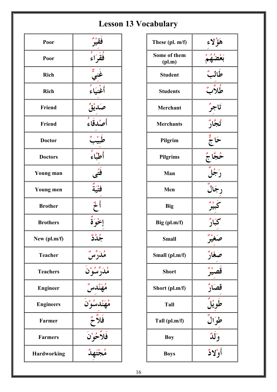#### Lesson 13 Vocabulary

| Poor               |                            |
|--------------------|----------------------------|
| Poor               | ققراء                      |
| <b>Rich</b>        |                            |
| <b>Rich</b>        |                            |
| Friend             | صَدِيْقٌ                   |
| <b>Friend</b>      | أَصْدقَاءُ                 |
| <b>Doctor</b>      |                            |
| <b>Doctors</b>     | أَطبَّاءُ                  |
| Young man          |                            |
| <b>Young men</b>   | فَتَّى<br>فَتْيَةٌ         |
| <b>Brother</b>     | $\sum_{i=1}^{n}$           |
| <b>Brothers</b>    | اخْوَةٌ<br>إخْوَةٌ         |
| New (pl.m/f)       |                            |
| <b>Teacher</b>     | مُدَرِّسٌ                  |
| <b>Teachers</b>    | و په دون<br>ملأرسون        |
| <b>Engineer</b>    | مُهَنْدسٌ                  |
| <b>Engineers</b>   | <del>.<br/>مۇ</del> ئدىسۇن |
| <b>Farmer</b>      | فَلاَّ حَمْ                |
| <b>Farmers</b>     | فَلاَّحُوْنَ               |
| <b>Hardworking</b> |                            |

| These (pl. m/f)        | هَؤُلاء            |
|------------------------|--------------------|
| Some of them<br>(pl.m) |                    |
| <b>Student</b>         | طَالبٌ             |
| <b>Students</b>        | ر<br>طُلاَّبٌ      |
| <b>Merchant</b>        | تاجر               |
| <b>Merchants</b>       | ئىجار              |
| Pilgrim                | $rac{3}{5}$ $\leq$ |
| <b>Pilgrims</b>        |                    |
| Man                    | رَځُلٌ             |
| Men                    | رجَالٌ             |
| <b>Big</b>             |                    |
| Big (pl.m/f)           | كبّارٌ             |
| <b>Small</b>           | بده»               |
| Small (pl.m/f)         |                    |
| <b>Short</b>           |                    |
| Short (pl.m/f)         |                    |
| Tall                   |                    |
| Tall (pl.m/f)          | وَالْ              |
| <b>Boy</b>             | وَلَلاً            |
| <b>Boys</b>            | أولاد              |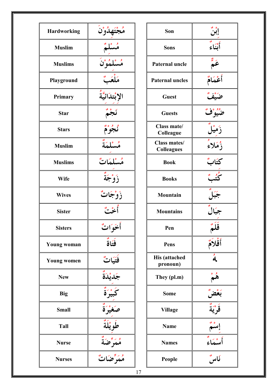| <b>Hardworking</b> | مُجْتَهِدُوْنَ             |  |
|--------------------|----------------------------|--|
| <b>Muslim</b>      |                            |  |
| <b>Muslims</b>     | مُسْلَمُوْنَ               |  |
| Playground         | مَلْعَب                    |  |
| Primary            | الإِبْتدَائِيَّةُ          |  |
| <b>Star</b>        | نَجُمُ                     |  |
| <b>Stars</b>       | و و وه<br>نجوم             |  |
| <b>Muslim</b>      | مسلمَة                     |  |
| <b>Muslims</b>     | مُسْلِّمَاتٌ               |  |
| Wife               | زَوْجَة                    |  |
| <b>Wives</b>       | زَوْجَاتٌ                  |  |
| <b>Sister</b>      | أخب                        |  |
| <b>Sisters</b>     | أخوَاتٌ                    |  |
| <b>Young woman</b> | فَتَاةٌ                    |  |
| <b>Young women</b> | فَتَيَاتٌ                  |  |
| <b>New</b>         | جَديْدَةٌ                  |  |
| <b>Big</b>         | كَبِيرَةٌ                  |  |
| <b>Small</b>       | صَغيرَة                    |  |
| Tall               | طَوِيْلَةٌ                 |  |
| <b>Nurse</b>       | مُمَرِّضَةٌ<br>مُمَرِّضَةٌ |  |
| <b>Nurses</b>      |                            |  |

| Son                               | ابْنٌ<br>أَبْنَاء <sup>ٌ</sup> |  |
|-----------------------------------|--------------------------------|--|
| <b>Sons</b>                       |                                |  |
| <b>Paternal uncle</b>             |                                |  |
| <b>Paternal uncles</b>            | أَعْمَامٌ                      |  |
| <b>Guest</b>                      |                                |  |
| <b>Guests</b>                     | ضيو°ف                          |  |
| Class mate/<br>Colleague          |                                |  |
| Class mates/<br><b>Colleagues</b> | زَميْلٌ<br>زُمَلاءٌ            |  |
| <b>Book</b>                       | كتَابٌ                         |  |
| <b>Books</b>                      |                                |  |
| <b>Mountain</b>                   |                                |  |
| <b>Mountains</b>                  | جَبَالٌ                        |  |
| Pen                               | قَلْهُ                         |  |
| Pens                              | ٲڦ۠ڵٲۘڋ<br>ٙ                   |  |
| <b>His (attached</b><br>pronoun)  | ۔<br>لم                        |  |
| They (pl.m)                       |                                |  |
| <b>Some</b>                       |                                |  |
| <b>Village</b>                    |                                |  |
| <b>Name</b>                       |                                |  |
| <b>Names</b>                      |                                |  |
| People                            |                                |  |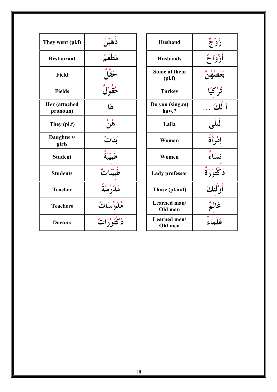| They went (pl.f)          | دهبر        | <b>Husband</b>           | زوج       |
|---------------------------|-------------|--------------------------|-----------|
| <b>Restaurant</b>         |             | <b>Husbands</b>          | زُوَاجٌ   |
| <b>Field</b>              |             | Some of them<br>(pl.f)   |           |
| <b>Fields</b>             | د. ه<br>عقد | <b>Turkey</b>            |           |
| Her (attached<br>pronoun) | هَا         | Do you (sing.m)<br>have? | أَ لَكَ   |
| They (pl.f)               | و ته<br>هن  | Laila                    |           |
| Daughters/<br>girls       | يَنَاتٌ     | Woman                    | إمْرَأَةَ |
| <b>Student</b>            |             | Women                    | نسكاء     |
| <b>Students</b>           |             | Lady professor           |           |
| <b>Teacher</b>            | مُلَرَّسَة  | Those (pl.m/f)           | أوالئك    |
| <b>Teachers</b>           |             | Learned man/<br>Old man  |           |
| <b>Doctors</b>            |             | Learned men/<br>Old men  |           |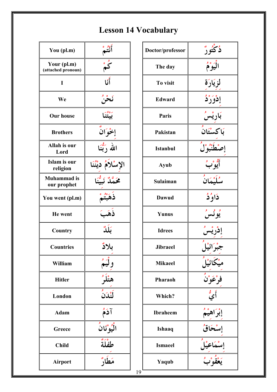## Lesson 14 Vocabulary

| You (pl.m)                        |                         |    | Doctor/professor | دكتور                                                        |
|-----------------------------------|-------------------------|----|------------------|--------------------------------------------------------------|
| Your (pl.m)<br>(attached pronoun) | $\overline{\mathbf{z}}$ |    | The day          |                                                              |
| $\bf{I}$                          | أَنَا                   |    | To visit         | لزيَارَة                                                     |
| We                                | نحن                     |    | Edward           | إذورد                                                        |
| <b>Our house</b>                  |                         |    | Paris            | باريس                                                        |
| <b>Brothers</b>                   | إخْوَان                 |    | Pakistan         | بَاكسْتَان                                                   |
| Allah is our<br>Lord              | الله دقينا              |    | <b>Istanbul</b>  |                                                              |
| Islam is our<br>religion          |                         |    | Ayub             | أيوب                                                         |
| <b>Muhammad</b> is<br>our prophet |                         |    | Sulaiman         |                                                              |
| You went (pl.m)                   |                         |    | <b>Dawud</b>     | ذاوْذُ                                                       |
| He went                           |                         |    | Yunus            | و و.<br>يونس                                                 |
| Country                           |                         |    | <b>Idrees</b>    |                                                              |
| <b>Countries</b>                  | بلاڈ                    |    | <b>Jibraeel</b>  | سين                                                          |
| William                           | ِيمِ                    |    | <b>Mikaeel</b>   | مَیْکَائیْلُ<br>مَــَــَــَــَـــ<br>فِرْعَوْنُ              |
| <b>Hitler</b>                     | حتْلُرٌّ<br>حَتْلُرٌ    |    | Pharaoh          |                                                              |
| London                            | ٱؿۮؘڽ                   |    | Which?           | أي                                                           |
| Adam                              | آذَمُ                   |    | <b>Ibraheem</b>  |                                                              |
| Greece                            | الْيُوْنَانُ            |    | <b>Ishaaq</b>    |                                                              |
| <b>Child</b>                      | طفلة                    |    | <b>Ismaeel</b>   | إِبْرَاهِيْمُ<br>إِسْحَاقُ<br>إِسْمَاعِيْلُ<br>إِسْمَاعِيْلُ |
| <b>Airport</b>                    | مَطَارٌ                 | 19 | Yaqub            | ره و م<br>يعقوب                                              |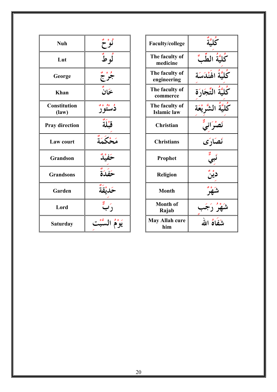| <b>Nuh</b>                   |                        |  |
|------------------------------|------------------------|--|
| Lut                          | لو<br>لو ط             |  |
| George                       | جح                     |  |
| <b>Khan</b>                  | خَانٌ                  |  |
| <b>Constitution</b><br>(law) | ۮڛؘ                    |  |
| <b>Pray direction</b>        | قُلُ                   |  |
| Law court                    | مَحْكَمَةٌ             |  |
| Grandson                     |                        |  |
| <b>Grandsons</b>             | $\frac{1}{\mathbf{a}}$ |  |
| Garden                       | ۥؿقة                   |  |
| Lord                         |                        |  |
| <b>Saturday</b>              |                        |  |

| <b>Faculty/college</b>               |                       |  |
|--------------------------------------|-----------------------|--|
| The faculty of<br>medicine           | كَلِّيَّةُ الطِّبِّ   |  |
| The faculty of<br>engineering        | كَلَّنَّةُ اهْنْدَسَة |  |
| The faculty of<br>commerce           | مَّةَ التَّجَارَة     |  |
| The faculty of<br><b>Islamic</b> law | ةَ الشَّ يْعَة        |  |
| Christian                            | َانِی                 |  |
| <b>Christians</b>                    | ئصّارَى               |  |
| Prophet                              |                       |  |
| <b>Religion</b>                      | ديّز                  |  |
| <b>Month</b>                         |                       |  |
| <b>Month of</b><br>Rajab             |                       |  |
| <b>May Allah cure</b><br>him         | شَفاهُ الله           |  |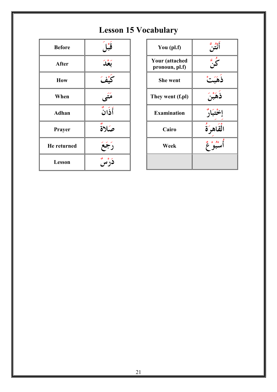## Lesson 15 Vocabulary

| <b>Before</b> | قَبْل         |
|---------------|---------------|
| After         | بَعْدَ        |
| How           |               |
| When          | مَتَح         |
| Adhan         | أَذَانُ       |
| Prayer        | صَلاة         |
| He returned   | جع            |
| Lesson        | ره م<br>أرلين |

| You (pl.f)                              |                   |
|-----------------------------------------|-------------------|
| <b>Your</b> (attached<br>pronoun, pl.f) | م<br>م به         |
| <b>She went</b>                         |                   |
| They went (f.pl)                        |                   |
| <b>Examination</b>                      |                   |
| Cairo                                   | اهر َةٌ<br>الْقَا |
| Week                                    |                   |
|                                         |                   |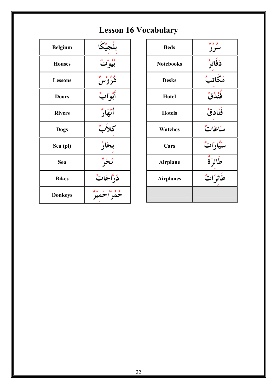## Lesson 16 Vocabulary

| <b>Belgium</b> | بلجيكا                                 |
|----------------|----------------------------------------|
| <b>Houses</b>  | <sup>وو</sup> ق"                       |
| <b>Lessons</b> | وو ه<br>دروس                           |
| <b>Doors</b>   | أبواب                                  |
| <b>Rivers</b>  | أَنْهَارٌ                              |
| <b>Dogs</b>    | كلأب                                   |
| Sea (pl)       | بحَارٌ                                 |
| Sea            |                                        |
| <b>Bikes</b>   | دَرَّاجَاتٌ                            |
| <b>Donkeys</b> | <sup>و و و</sup> ا ځمنه <sup>ه و</sup> |

| <b>Beds</b>      | افر افو     |
|------------------|-------------|
| <b>Notebooks</b> | دَفَاتهُ    |
| <b>Desks</b>     | رىز<br>ھىكە |
| <b>Hotel</b>     | فندق        |
| <b>Hotels</b>    | فَنَادِقُ   |
| <b>Watches</b>   | ساعَاتٌ     |
| Cars             | سیَّارَاتٌ  |
| <b>Airplane</b>  | طَائِرَةٌ   |
| <b>Airplanes</b> | طَائرَاتٌ   |
|                  |             |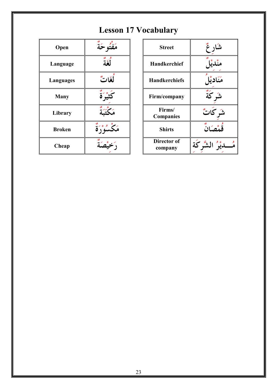| Open             | مَفْتُو حَةٌ                           |
|------------------|----------------------------------------|
| Language         | لَغَة                                  |
| <b>Languages</b> | لغَاتٌ                                 |
| <b>Many</b>      |                                        |
| Library          |                                        |
| <b>Broken</b>    | $\ddot{\ddot{\theta}}$ $\ddot{\theta}$ |
| Cheap            |                                        |

## Lesson 17 Vocabulary

| Street                     | شَ        |
|----------------------------|-----------|
| <b>Handkerchief</b>        | ه<br>مد   |
| <b>Handkerchiefs</b>       | مَدْ      |
| Firm/company               |           |
| Firms/<br><b>Companies</b> | كاتٌ      |
| <b>Shirts</b>              | قَمْصَانٌ |
| Director of<br>company     |           |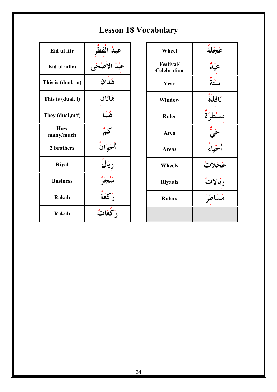# Lesson 18 Vocabulary

| Eid ul fitr             | عيْدُ الْفطْر   |
|-------------------------|-----------------|
| Eid ul adha             | عيْدُ الأَضْحَى |
| This is (dual, m)       | هَذَان          |
| This is (dual, f)       | هَاتَان         |
| They (dual,m/f)         | هْمَا           |
| <b>How</b><br>many/much | كُمْ            |
| 2 brothers              | أَخَوَانٌ       |
| <b>Riyal</b>            | ላደ።<br>ر يَالُ  |
| <b>Business</b>         |                 |
| <b>Rakah</b>            | كرى.<br>د كغة   |
| <b>Rakah</b>            | دكعَاتٌ         |

| Wheel                                  | عَجَلَةً                  |
|----------------------------------------|---------------------------|
| <b>Festival/</b><br><b>Celebration</b> | عيلا                      |
| Year                                   | سنة                       |
| <b>Window</b>                          | نَافَذَةٌ                 |
| <b>Ruler</b>                           | $\ddot{\tilde{\theta}}$ , |
| Area                                   |                           |
| <b>Areas</b>                           | أحياء                     |
| Wheels                                 | عَجَلاتٌ                  |
| <b>Riyaals</b>                         | رِيَالاتٌ<br>مَسَاطرُ     |
| <b>Rulers</b>                          |                           |
|                                        |                           |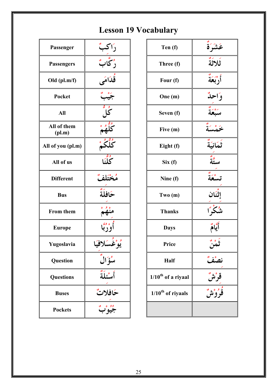## Lesson 19 Vocabulary

| Passenger             | رَاكبٌ               |
|-----------------------|----------------------|
| <b>Passengers</b>     | وتجاب                |
| Old (pl.m/f)          | قَدَامَی             |
| Pocket                | جيب                  |
| All                   | قر<br>كل             |
| All of them<br>(pl.m) | موه<br>كلّهُمْ<br>=  |
| All of you (pl.m)     | <u>ئىگڈ،</u><br>كلگم |
| All of us             | وه<br>کلنا           |
| <b>Different</b>      | مُخْتَلِفٌ           |
| <b>Bus</b>            | ځافلَةٌ              |
| <b>From them</b>      | $\frac{1}{\sqrt{3}}$ |
| <b>Europe</b>         |                      |
| Yugoslavia            | ؽۅ۠ۼۘٛڛؘڸاڤِيَا      |
| Question              | سُؤَالَ              |
| <b>Questions</b>      | أَسْئِلَةَ           |
| <b>Buses</b>          | ځافلاتٌ              |
| <b>Pockets</b>        | —<br>موه په          |

| Ten (f)                 | عَشَرَةٌ   |
|-------------------------|------------|
| Three (f)               | تَلاثَةٌ   |
| Four (f)                | أرْبَعَة   |
| One (m)                 | واحدٌ      |
| Seven (f)               | سبعة       |
| Five (m)                | ہ<br>مسلة  |
| Eight (f)               | ڷؘڡؘڶڹۘةؖ  |
| Six(f)                  | ية<br>منتة |
| Nine (f)                | تسعة       |
| Two (m)                 | إثنان      |
| <b>Thanks</b>           |            |
| <b>Days</b>             |            |
| Price                   |            |
| <b>Half</b>             | حنف        |
| $1/10^{th}$ of a riyaal |            |
| $1/10^{th}$ of riyaals  |            |
|                         |            |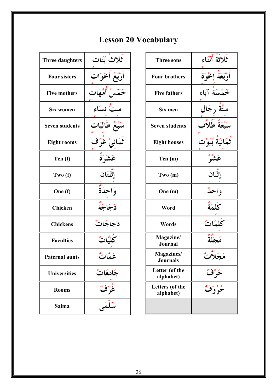#### Lesson 20 Vocabulary

| <b>Three daughters</b> | ثَلاثُ بَنَات              |
|------------------------|----------------------------|
| <b>Four sisters</b>    | أَرْبَعُ أَخَوَات          |
| <b>Five mothers</b>    | خَمْس أُمَّهَات            |
| <b>Six women</b>       | ستُ نسَاء                  |
| <b>Seven students</b>  | سَبْعُ طَالبَات            |
| <b>Eight rooms</b>     | ثَمَانیْ غُر <sup>َف</sup> |
| Ten (f)                | عَشَرَةٌ                   |
| Two $(f)$              | إثْنَتَان                  |
| One (f)                | واحدةٌ                     |
| <b>Chicken</b>         | دَجَاجَةٌ                  |
| <b>Chickens</b>        | دَجَاجَاتٌ                 |
| <b>Faculties</b>       | ݣْلِيَّاتٌ                 |
| <b>Paternal aunts</b>  | عَمَّاتٌ                   |
| <b>Universities</b>    | جَامعَاتٌ                  |
| <b>Rooms</b>           | __<br>غُرَفٌ<br>سَلْمَى    |
| <b>Salma</b>           |                            |

| <b>Three sons</b>            | ثَلاثَةُ أَبْنَاء   |
|------------------------------|---------------------|
| <b>Four brothers</b>         | أَرْبَعَةُ إخْوَة   |
| <b>Five fathers</b>          | خَمْسَةُ آبَاء      |
| Six men                      | ستَّةُ رجَال        |
| <b>Seven students</b>        | سَبْعَةٌ طُلاَّب    |
| <b>Eight houses</b>          | ثَمَانِيَةُ بُيُوْت |
| Ten (m)                      | ره ۹۶<br>پيد        |
| Two (m)                      | إِثْنَان            |
| One (m)                      | واحلٌ               |
| Word                         | كَلِّمَةُ           |
| Words                        | كلمَاتٌ             |
| Magazine/<br>Journal         |                     |
| Magazines/<br>Journals       | مَجَلاَتٌ           |
| Letter (of the<br>alphabet)  |                     |
| Letters (of the<br>alphabet) |                     |
|                              |                     |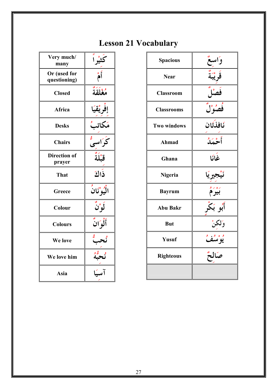#### Lesson 21 Vocabulary

| Very much/<br>many            | كثيراً                       |  |  |
|-------------------------------|------------------------------|--|--|
| Or (used for<br>questioning)  | أُمْ                         |  |  |
| <b>Closed</b>                 | مُغْلَقَة                    |  |  |
| <b>Africa</b>                 | إفريقيًا                     |  |  |
| <b>Desks</b>                  | مَكاتبُ                      |  |  |
| <b>Chairs</b>                 | كراسى<br>-                   |  |  |
| <b>Direction of</b><br>prayer | قبْلَةٌ                      |  |  |
| That                          | ذَاكَ                        |  |  |
| Greece                        | الْيُوْنَانُ                 |  |  |
| Colour                        | لَوْنٌ                       |  |  |
| <b>Colours</b>                | أَلْوَانٌ                    |  |  |
| We love                       | ئحب                          |  |  |
| We love him                   | و گھ<br>ق <del>باح</del> یله |  |  |
| Asia                          | آسيا                         |  |  |

| <b>Spacious</b>    |                       |  |  |
|--------------------|-----------------------|--|--|
| <b>Near</b>        | وَاسِعٌ<br>قَوْيْبَةٌ |  |  |
| <b>Classroom</b>   | فُصْلُ                |  |  |
| <b>Classrooms</b>  | فصول                  |  |  |
| <b>Two windows</b> | نَافِذَتَان           |  |  |
| <b>Ahmad</b>       | أخمله                 |  |  |
| Ghana              | غَانَا                |  |  |
| Nigeria            | نيجيريا               |  |  |
| <b>Bayrum</b>      | ۘۑؽۯۘم                |  |  |
| <b>Abu Bakr</b>    | أبو بَكْر             |  |  |
| <b>But</b>         | وَلكِنْ               |  |  |
| Yusuf              | يوسُفُ                |  |  |
| <b>Righteous</b>   | صَالَحٌ               |  |  |
|                    |                       |  |  |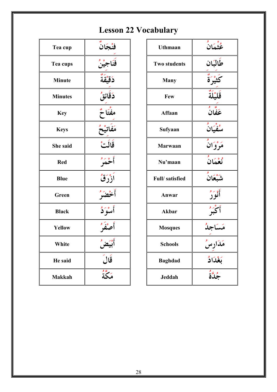# Lesson 22 Vocabulary

| Tea cup        | فنْجَانٌ         |  |  |
|----------------|------------------|--|--|
| Tea cups       | فَنَاجيْنُ       |  |  |
| <b>Minute</b>  | ۮقؽقؘۘةٌ         |  |  |
| <b>Minutes</b> | دَقَائقُ         |  |  |
| <b>Key</b>     | مفْتَاحٌ         |  |  |
| <b>Keys</b>    | أَهَفَاتِيْحُ    |  |  |
| She said       | قَالَتْ          |  |  |
| <b>Red</b>     | أحْمَر           |  |  |
| <b>Blue</b>    | ٱزْرَقْ          |  |  |
| Green          | أخضرُ            |  |  |
| <b>Black</b>   | أسودُ            |  |  |
| <b>Yellow</b>  | أصفك             |  |  |
| White          | ۔<br>أبيضٌ       |  |  |
| He said        | قَالَ<br>مَكَّةٌ |  |  |
| <b>Makkah</b>  |                  |  |  |

| <b>Uthmaan</b>      | عُثْمَانُ            |  |  |
|---------------------|----------------------|--|--|
| <b>Two students</b> | طَالبَان             |  |  |
| <b>Many</b>         | كَثيرَةٌ             |  |  |
| Few                 | قَلِيْلَةٌ           |  |  |
| Affaan              | سمبر<br>عَفانُ       |  |  |
| Sufyaan             | سفيان                |  |  |
| Marwaan             | مَرْوَانُ            |  |  |
| Nu'maan             | نْعْمَانُ            |  |  |
| Full/satisfied      | شَبْعَانُ            |  |  |
| Anwar               | أورو                 |  |  |
| Akbar               | أكبر                 |  |  |
| <b>Mosques</b>      | مَسَاجِدُ            |  |  |
| <b>Schools</b>      | مَدَارِس             |  |  |
| <b>Baghdad</b>      | بَغْدَادُ<br>جُدَّةُ |  |  |
| Jeddah              |                      |  |  |